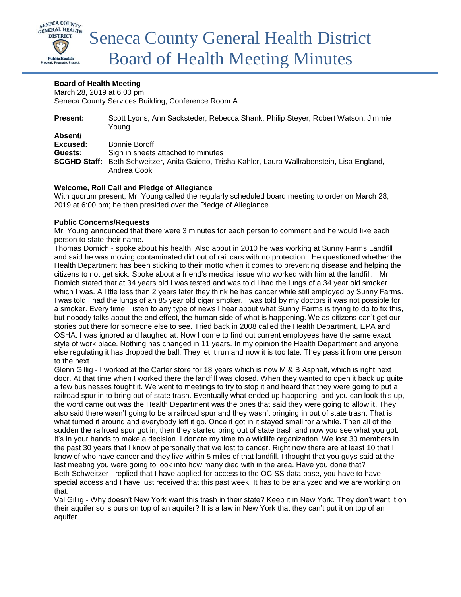

#### **Board of Health Meeting**

March 28, 2019 at 6:00 pm Seneca County Services Building, Conference Room A

| <b>Present:</b> | Scott Lyons, Ann Sacksteder, Rebecca Shank, Philip Steyer, Robert Watson, Jimmie<br>Young       |
|-----------------|-------------------------------------------------------------------------------------------------|
| Absent/         |                                                                                                 |
| Excused:        | Bonnie Boroff                                                                                   |
| Guests:         | Sign in sheets attached to minutes                                                              |
|                 | SCGHD Staff: Beth Schweitzer, Anita Gaietto, Trisha Kahler, Laura Wallrabenstein, Lisa England, |
|                 | Andrea Cook                                                                                     |

#### **Welcome, Roll Call and Pledge of Allegiance**

With quorum present, Mr. Young called the regularly scheduled board meeting to order on March 28, 2019 at 6:00 pm; he then presided over the Pledge of Allegiance.

#### **Public Concerns/Requests**

Mr. Young announced that there were 3 minutes for each person to comment and he would like each person to state their name.

Thomas Domich - spoke about his health. Also about in 2010 he was working at Sunny Farms Landfill and said he was moving contaminated dirt out of rail cars with no protection. He questioned whether the Health Department has been sticking to their motto when it comes to preventing disease and helping the citizens to not get sick. Spoke about a friend's medical issue who worked with him at the landfill. Mr. Domich stated that at 34 years old I was tested and was told I had the lungs of a 34 year old smoker which I was. A little less than 2 years later they think he has cancer while still employed by Sunny Farms. I was told I had the lungs of an 85 year old cigar smoker. I was told by my doctors it was not possible for a smoker. Every time I listen to any type of news I hear about what Sunny Farms is trying to do to fix this, but nobody talks about the end effect, the human side of what is happening. We as citizens can't get our stories out there for someone else to see. Tried back in 2008 called the Health Department, EPA and OSHA. I was ignored and laughed at. Now I come to find out current employees have the same exact style of work place. Nothing has changed in 11 years. In my opinion the Health Department and anyone else regulating it has dropped the ball. They let it run and now it is too late. They pass it from one person to the next.

Glenn Gillig - I worked at the Carter store for 18 years which is now M & B Asphalt, which is right next door. At that time when I worked there the landfill was closed. When they wanted to open it back up quite a few businesses fought it. We went to meetings to try to stop it and heard that they were going to put a railroad spur in to bring out of state trash. Eventually what ended up happening, and you can look this up, the word came out was the Health Department was the ones that said they were going to allow it. They also said there wasn't going to be a railroad spur and they wasn't bringing in out of state trash. That is what turned it around and everybody left it go. Once it got in it stayed small for a while. Then all of the sudden the railroad spur got in, then they started bring out of state trash and now you see what you got. It's in your hands to make a decision. I donate my time to a wildlife organization. We lost 30 members in the past 30 years that I know of personally that we lost to cancer. Right now there are at least 10 that I know of who have cancer and they live within 5 miles of that landfill. I thought that you guys said at the last meeting you were going to look into how many died with in the area. Have you done that? Beth Schweitzer - replied that I have applied for access to the OCISS data base, you have to have special access and I have just received that this past week. It has to be analyzed and we are working on that.

Val Gillig - Why doesn't New York want this trash in their state? Keep it in New York. They don't want it on their aquifer so is ours on top of an aquifer? It is a law in New York that they can't put it on top of an aquifer.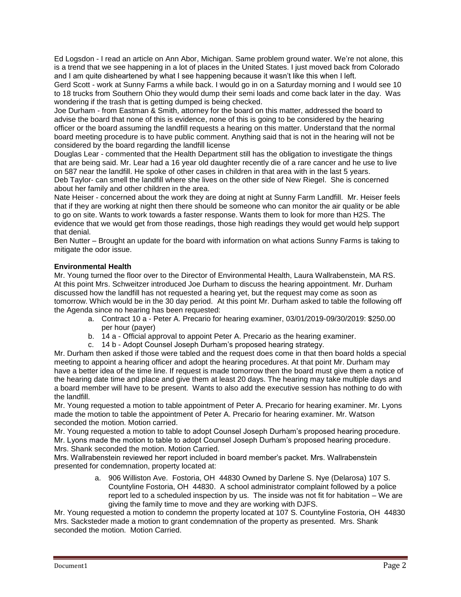Ed Logsdon - I read an article on Ann Abor, Michigan. Same problem ground water. We're not alone, this is a trend that we see happening in a lot of places in the United States. I just moved back from Colorado and I am quite disheartened by what I see happening because it wasn't like this when I left.

Gerd Scott - work at Sunny Farms a while back. I would go in on a Saturday morning and I would see 10 to 18 trucks from Southern Ohio they would dump their semi loads and come back later in the day. Was wondering if the trash that is getting dumped is being checked.

Joe Durham - from Eastman & Smith, attorney for the board on this matter, addressed the board to advise the board that none of this is evidence, none of this is going to be considered by the hearing officer or the board assuming the landfill requests a hearing on this matter. Understand that the normal board meeting procedure is to have public comment. Anything said that is not in the hearing will not be considered by the board regarding the landfill license

Douglas Lear - commented that the Health Department still has the obligation to investigate the things that are being said. Mr. Lear had a 16 year old daughter recently die of a rare cancer and he use to live on 587 near the landfill. He spoke of other cases in children in that area with in the last 5 years. Deb Taylor- can smell the landfill where she lives on the other side of New Riegel. She is concerned about her family and other children in the area.

Nate Heiser - concerned about the work they are doing at night at Sunny Farm Landfill. Mr. Heiser feels that if they are working at night then there should be someone who can monitor the air quality or be able to go on site. Wants to work towards a faster response. Wants them to look for more than H2S. The evidence that we would get from those readings, those high readings they would get would help support that denial.

Ben Nutter – Brought an update for the board with information on what actions Sunny Farms is taking to mitigate the odor issue.

#### **Environmental Health**

Mr. Young turned the floor over to the Director of Environmental Health, Laura Wallrabenstein, MA RS. At this point Mrs. Schweitzer introduced Joe Durham to discuss the hearing appointment. Mr. Durham discussed how the landfill has not requested a hearing yet, but the request may come as soon as tomorrow. Which would be in the 30 day period. At this point Mr. Durham asked to table the following off the Agenda since no hearing has been requested:

- a. Contract 10 a Peter A. Precario for hearing examiner, 03/01/2019-09/30/2019: \$250.00 per hour (payer)
- b. 14 a Official approval to appoint Peter A. Precario as the hearing examiner.
- c. 14 b Adopt Counsel Joseph Durham's proposed hearing strategy.

Mr. Durham then asked if those were tabled and the request does come in that then board holds a special meeting to appoint a hearing officer and adopt the hearing procedures. At that point Mr. Durham may have a better idea of the time line. If request is made tomorrow then the board must give them a notice of the hearing date time and place and give them at least 20 days. The hearing may take multiple days and a board member will have to be present. Wants to also add the executive session has nothing to do with the landfill.

Mr. Young requested a motion to table appointment of Peter A. Precario for hearing examiner. Mr. Lyons made the motion to table the appointment of Peter A. Precario for hearing examiner. Mr. Watson seconded the motion. Motion carried.

Mr. Young requested a motion to table to adopt Counsel Joseph Durham's proposed hearing procedure. Mr. Lyons made the motion to table to adopt Counsel Joseph Durham's proposed hearing procedure. Mrs. Shank seconded the motion. Motion Carried.

Mrs. Wallrabenstein reviewed her report included in board member's packet. Mrs. Wallrabenstein presented for condemnation, property located at:

> a. 906 Williston Ave. Fostoria, OH 44830 Owned by Darlene S. Nye (Delarosa) 107 S. Countyline Fostoria, OH 44830. A school administrator complaint followed by a police report led to a scheduled inspection by us. The inside was not fit for habitation – We are giving the family time to move and they are working with DJFS.

Mr. Young requested a motion to condemn the property located at 107 S. Countyline Fostoria, OH 44830 Mrs. Sacksteder made a motion to grant condemnation of the property as presented. Mrs. Shank seconded the motion. Motion Carried.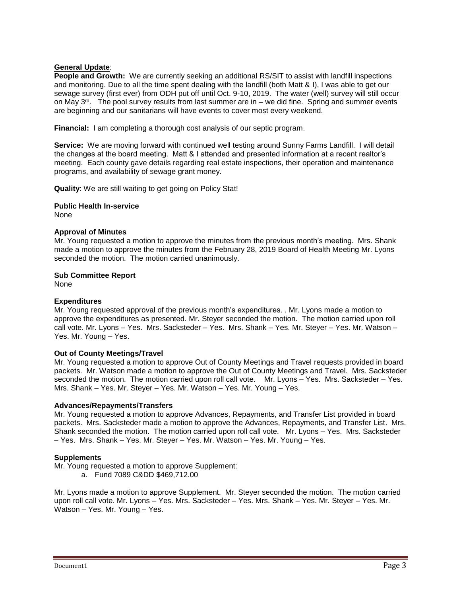#### **General Update**:

**People and Growth:** We are currently seeking an additional RS/SIT to assist with landfill inspections and monitoring. Due to all the time spent dealing with the landfill (both Matt & I), I was able to get our sewage survey (first ever) from ODH put off until Oct. 9-10, 2019. The water (well) survey will still occur on May  $3<sup>rd</sup>$ . The pool survey results from last summer are in – we did fine. Spring and summer events are beginning and our sanitarians will have events to cover most every weekend.

**Financial:** I am completing a thorough cost analysis of our septic program.

**Service:** We are moving forward with continued well testing around Sunny Farms Landfill. I will detail the changes at the board meeting. Matt & I attended and presented information at a recent realtor's meeting. Each county gave details regarding real estate inspections, their operation and maintenance programs, and availability of sewage grant money.

**Quality**: We are still waiting to get going on Policy Stat!

**Public Health In-service** None

#### **Approval of Minutes**

Mr. Young requested a motion to approve the minutes from the previous month's meeting. Mrs. Shank made a motion to approve the minutes from the February 28, 2019 Board of Health Meeting Mr. Lyons seconded the motion. The motion carried unanimously.

#### **Sub Committee Report**

None

#### **Expenditures**

Mr. Young requested approval of the previous month's expenditures. . Mr. Lyons made a motion to approve the expenditures as presented. Mr. Steyer seconded the motion. The motion carried upon roll call vote. Mr. Lyons – Yes. Mrs. Sacksteder – Yes. Mrs. Shank – Yes. Mr. Steyer – Yes. Mr. Watson – Yes. Mr. Young – Yes.

#### **Out of County Meetings/Travel**

Mr. Young requested a motion to approve Out of County Meetings and Travel requests provided in board packets. Mr. Watson made a motion to approve the Out of County Meetings and Travel. Mrs. Sacksteder seconded the motion. The motion carried upon roll call vote. Mr. Lyons – Yes. Mrs. Sacksteder – Yes. Mrs. Shank – Yes. Mr. Steyer – Yes. Mr. Watson – Yes. Mr. Young – Yes.

#### **Advances/Repayments/Transfers**

Mr. Young requested a motion to approve Advances, Repayments, and Transfer List provided in board packets. Mrs. Sacksteder made a motion to approve the Advances, Repayments, and Transfer List. Mrs. Shank seconded the motion. The motion carried upon roll call vote. Mr. Lyons – Yes. Mrs. Sacksteder – Yes. Mrs. Shank – Yes. Mr. Steyer – Yes. Mr. Watson – Yes. Mr. Young – Yes.

#### **Supplements**

Mr. Young requested a motion to approve Supplement:

a. Fund 7089 C&DD \$469,712.00

Mr. Lyons made a motion to approve Supplement. Mr. Steyer seconded the motion. The motion carried upon roll call vote. Mr. Lyons – Yes. Mrs. Sacksteder – Yes. Mrs. Shank – Yes. Mr. Steyer – Yes. Mr. Watson – Yes. Mr. Young – Yes.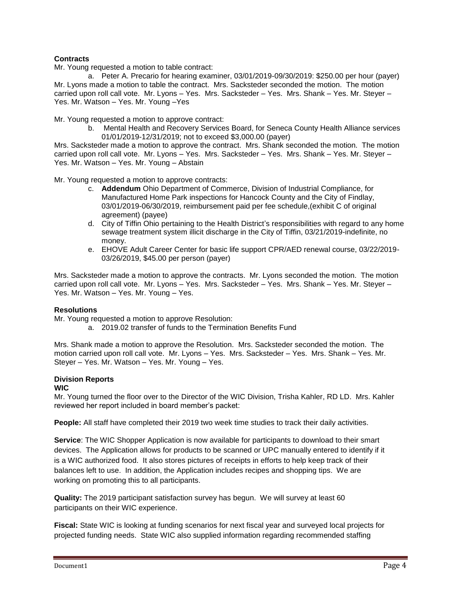#### **Contracts**

Mr. Young requested a motion to table contract:

a. Peter A. Precario for hearing examiner, 03/01/2019-09/30/2019: \$250.00 per hour (payer) Mr. Lyons made a motion to table the contract. Mrs. Sacksteder seconded the motion. The motion carried upon roll call vote. Mr. Lyons – Yes. Mrs. Sacksteder – Yes. Mrs. Shank – Yes. Mr. Steyer – Yes. Mr. Watson – Yes. Mr. Young –Yes

Mr. Young requested a motion to approve contract:

b. Mental Health and Recovery Services Board, for Seneca County Health Alliance services 01/01/2019-12/31/2019; not to exceed \$3,000.00 (payer)

Mrs. Sacksteder made a motion to approve the contract. Mrs. Shank seconded the motion. The motion carried upon roll call vote. Mr. Lyons – Yes. Mrs. Sacksteder – Yes. Mrs. Shank – Yes. Mr. Steyer – Yes. Mr. Watson – Yes. Mr. Young – Abstain

Mr. Young requested a motion to approve contracts:

- c. **Addendum** Ohio Department of Commerce, Division of Industrial Compliance, for Manufactured Home Park inspections for Hancock County and the City of Findlay, 03/01/2019-06/30/2019, reimbursement paid per fee schedule,(exhibit C of original agreement) (payee)
- d. City of Tiffin Ohio pertaining to the Health District's responsibilities with regard to any home sewage treatment system illicit discharge in the City of Tiffin, 03/21/2019-indefinite, no money.
- e. EHOVE Adult Career Center for basic life support CPR/AED renewal course, 03/22/2019- 03/26/2019, \$45.00 per person (payer)

Mrs. Sacksteder made a motion to approve the contracts. Mr. Lyons seconded the motion. The motion carried upon roll call vote. Mr. Lyons – Yes. Mrs. Sacksteder – Yes. Mrs. Shank – Yes. Mr. Steyer – Yes. Mr. Watson – Yes. Mr. Young – Yes.

#### **Resolutions**

Mr. Young requested a motion to approve Resolution:

a. 2019.02 transfer of funds to the Termination Benefits Fund

Mrs. Shank made a motion to approve the Resolution. Mrs. Sacksteder seconded the motion. The motion carried upon roll call vote. Mr. Lyons – Yes. Mrs. Sacksteder – Yes. Mrs. Shank – Yes. Mr. Steyer – Yes. Mr. Watson – Yes. Mr. Young – Yes.

#### **Division Reports**

#### **WIC**

Mr. Young turned the floor over to the Director of the WIC Division, Trisha Kahler, RD LD. Mrs. Kahler reviewed her report included in board member's packet:

**People:** All staff have completed their 2019 two week time studies to track their daily activities.

**Service**: The WIC Shopper Application is now available for participants to download to their smart devices. The Application allows for products to be scanned or UPC manually entered to identify if it is a WIC authorized food. It also stores pictures of receipts in efforts to help keep track of their balances left to use. In addition, the Application includes recipes and shopping tips. We are working on promoting this to all participants.

**Quality:** The 2019 participant satisfaction survey has begun. We will survey at least 60 participants on their WIC experience.

**Fiscal:** State WIC is looking at funding scenarios for next fiscal year and surveyed local projects for projected funding needs. State WIC also supplied information regarding recommended staffing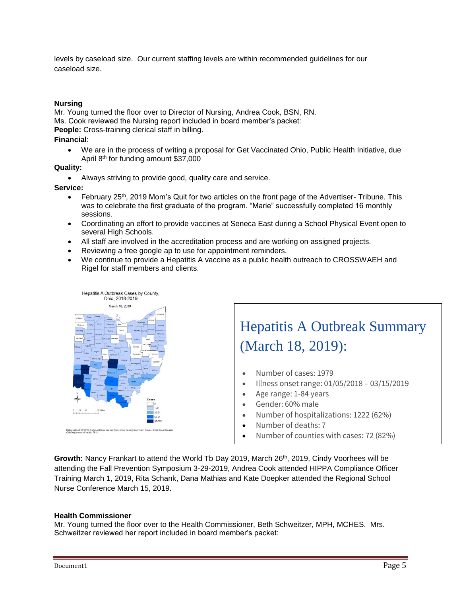levels by caseload size. Our current staffing levels are within recommended guidelines for our caseload size.

#### **Nursing**

Mr. Young turned the floor over to Director of Nursing, Andrea Cook, BSN, RN.

Ms. Cook reviewed the Nursing report included in board member's packet:

**People:** Cross-training clerical staff in billing.

#### **Financial**:

• We are in the process of writing a proposal for Get Vaccinated Ohio, Public Health Initiative, due April 8th for funding amount \$37,000

#### **Quality:**

• Always striving to provide good, quality care and service.

#### **Service:**

- February 25<sup>th</sup>, 2019 Mom's Quit for two articles on the front page of the Advertiser- Tribune. This was to celebrate the first graduate of the program. "Marie" successfully completed 16 monthly sessions.
- Coordinating an effort to provide vaccines at Seneca East during a School Physical Event open to several High Schools.
- All staff are involved in the accreditation process and are working on assigned projects.
- Reviewing a free google ap to use for appointment reminders.
- We continue to provide a Hepatitis A vaccine as a public health outreach to CROSSWAEH and Rigel for staff members and clients.



# Hepatitis A Outbreak Summary (March 18, 2019):

- Number of cases: 1979
- Illness onset range: 01/05/2018 03/15/2019
- Age range: 1-84 years
- Gender: 60% male
- Number of hospitalizations: 1222 (62%)
- Number of deaths: 7
- Number of counties with cases: 72 (82%)

Growth: Nancy Frankart to attend the World Tb Day 2019, March 26<sup>th</sup>, 2019, Cindy Voorhees will be attending the Fall Prevention Symposium 3-29-2019, Andrea Cook attended HIPPA Compliance Officer Training March 1, 2019, Rita Schank, Dana Mathias and Kate Doepker attended the Regional School Nurse Conference March 15, 2019.

#### **Health Commissioner**

Mr. Young turned the floor over to the Health Commissioner, Beth Schweitzer, MPH, MCHES. Mrs. Schweitzer reviewed her report included in board member's packet: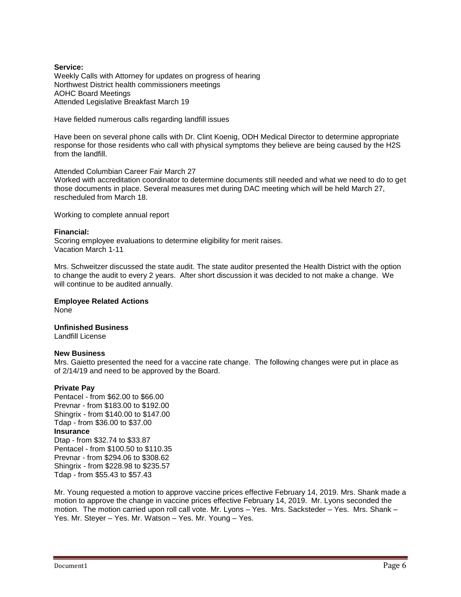#### **Service:**

Weekly Calls with Attorney for updates on progress of hearing Northwest District health commissioners meetings AOHC Board Meetings Attended Legislative Breakfast March 19

Have fielded numerous calls regarding landfill issues

Have been on several phone calls with Dr. Clint Koenig, ODH Medical Director to determine appropriate response for those residents who call with physical symptoms they believe are being caused by the H2S from the landfill.

Attended Columbian Career Fair March 27 Worked with accreditation coordinator to determine documents still needed and what we need to do to get those documents in place. Several measures met during DAC meeting which will be held March 27, rescheduled from March 18.

Working to complete annual report

#### **Financial:**

Scoring employee evaluations to determine eligibility for merit raises. Vacation March 1-11

Mrs. Schweitzer discussed the state audit. The state auditor presented the Health District with the option to change the audit to every 2 years. After short discussion it was decided to not make a change. We will continue to be audited annually.

## **Employee Related Actions**

None

### **Unfinished Business**

Landfill License

#### **New Business**

Mrs. Gaietto presented the need for a vaccine rate change. The following changes were put in place as of 2/14/19 and need to be approved by the Board.

#### **Private Pay**

Pentacel - from \$62.00 to \$66.00 Prevnar - from \$183.00 to \$192.00 Shingrix - from \$140.00 to \$147.00 Tdap - from \$36.00 to \$37.00 **Insurance** Dtap - from \$32.74 to \$33.87 Pentacel - from \$100.50 to \$110.35 Prevnar - from \$294.06 to \$308.62 Shingrix - from \$228.98 to \$235.57 Tdap - from \$55.43 to \$57.43

Mr. Young requested a motion to approve vaccine prices effective February 14, 2019. Mrs. Shank made a motion to approve the change in vaccine prices effective February 14, 2019. Mr. Lyons seconded the motion. The motion carried upon roll call vote. Mr. Lyons – Yes. Mrs. Sacksteder – Yes. Mrs. Shank – Yes. Mr. Steyer – Yes. Mr. Watson – Yes. Mr. Young – Yes.